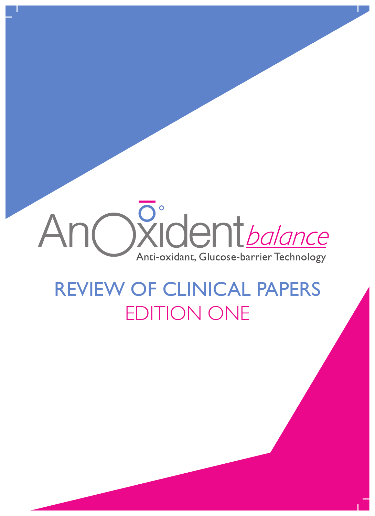# Oxident *balance* Anti-oxidant, Glucose-barrier Technology

# REVIEW OF CLINICAL PAPERS EDITION ONE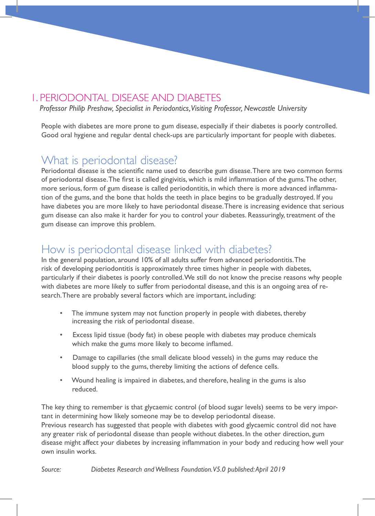#### 1. PERIODONTAL DISEASE AND DIABETES

*Professor Philip Preshaw, Specialist in Periodontics, Visiting Professor, Newcastle University*

People with diabetes are more prone to gum disease, especially if their diabetes is poorly controlled. Good oral hygiene and regular dental check-ups are particularly important for people with diabetes.

### What is periodontal disease?

Periodontal disease is the scientific name used to describe gum disease. There are two common forms of periodontal disease. The first is called gingivitis, which is mild inflammation of the gums. The other, more serious, form of gum disease is called periodontitis, in which there is more advanced inflammation of the gums, and the bone that holds the teeth in place begins to be gradually destroyed. If you have diabetes you are more likely to have periodontal disease. There is increasing evidence that serious gum disease can also make it harder for you to control your diabetes. Reassuringly, treatment of the gum disease can improve this problem.

# How is periodontal disease linked with diabetes?

In the general population, around 10% of all adults suffer from advanced periodontitis. The risk of developing periodontitis is approximately three times higher in people with diabetes, particularly if their diabetes is poorly controlled. We still do not know the precise reasons why people with diabetes are more likely to suffer from periodontal disease, and this is an ongoing area of research. There are probably several factors which are important, including:

- The immune system may not function properly in people with diabetes, thereby increasing the risk of periodontal disease.
- Excess lipid tissue (body fat) in obese people with diabetes may produce chemicals which make the gums more likely to become inflamed.
- Damage to capillaries (the small delicate blood vessels) in the gums may reduce the blood supply to the gums, thereby limiting the actions of defence cells.
- Wound healing is impaired in diabetes, and therefore, healing in the gums is also reduced.

The key thing to remember is that glycaemic control (of blood sugar levels) seems to be very important in determining how likely someone may be to develop periodontal disease. Previous research has suggested that people with diabetes with good glycaemic control did not have any greater risk of periodontal disease than people without diabetes. In the other direction, gum disease might affect your diabetes by increasing inflammation in your body and reducing how well your own insulin works.

*Source: Diabetes Research and Wellness Foundation. V5.0 published: April 2019*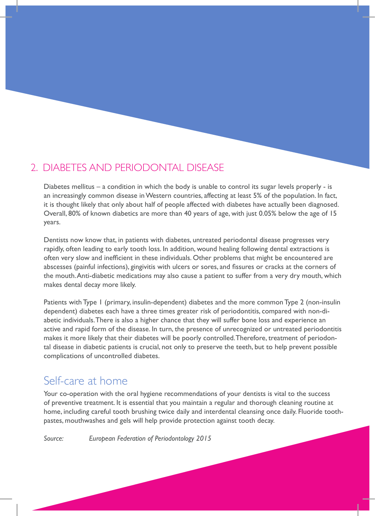#### 2. DIABETES AND PERIODONTAL DISEASE

Diabetes mellitus – a condition in which the body is unable to control its sugar levels properly - is an increasingly common disease in Western countries, affecting at least 5% of the population. In fact, it is thought likely that only about half of people affected with diabetes have actually been diagnosed. Overall, 80% of known diabetics are more than 40 years of age, with just 0.05% below the age of 15 years.

Dentists now know that, in patients with diabetes, untreated periodontal disease progresses very rapidly, often leading to early tooth loss. In addition, wound healing following dental extractions is often very slow and inefficient in these individuals. Other problems that might be encountered are abscesses (painful infections), gingivitis with ulcers or sores, and fissures or cracks at the corners of the mouth. Anti-diabetic medications may also cause a patient to suffer from a very dry mouth, which makes dental decay more likely.

Patients with Type 1 (primary, insulin-dependent) diabetes and the more common Type 2 (non-insulin dependent) diabetes each have a three times greater risk of periodontitis, compared with non-diabetic individuals. There is also a higher chance that they will suffer bone loss and experience an active and rapid form of the disease. In turn, the presence of unrecognized or untreated periodontitis makes it more likely that their diabetes will be poorly controlled. Therefore, treatment of periodontal disease in diabetic patients is crucial, not only to preserve the teeth, but to help prevent possible complications of uncontrolled diabetes.

#### Self-care at home

Your co-operation with the oral hygiene recommendations of your dentists is vital to the success of preventive treatment. It is essential that you maintain a regular and thorough cleaning routine at home, including careful tooth brushing twice daily and interdental cleansing once daily. Fluoride toothpastes, mouthwashes and gels will help provide protection against tooth decay.

*Source: European Federation of Periodontology 2015*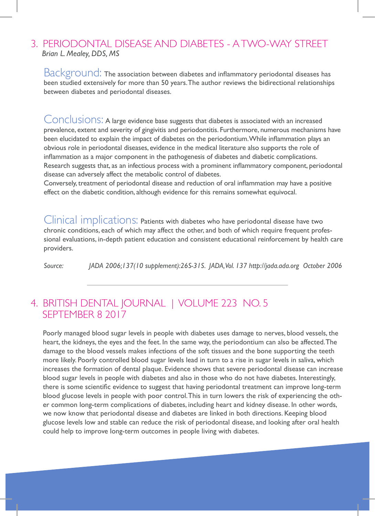#### 3. PERIODONTAL DISEASE AND DIABETES - A TWO-WAY STREET  *Brian L. Mealey, DDS, MS*

Background: The association between diabetes and inflammatory periodontal diseases has been studied extensively for more than 50 years. The author reviews the bidirectional relationships between diabetes and periodontal diseases.

Conclusions: A large evidence base suggests that diabetes is associated with an increased prevalence, extent and severity of gingivitis and periodontitis. Furthermore, numerous mechanisms have been elucidated to explain the impact of diabetes on the periodontium. While inflammation plays an obvious role in periodontal diseases, evidence in the medical literature also supports the role of inflammation as a major component in the pathogenesis of diabetes and diabetic complications. Research suggests that, as an infectious process with a prominent inflammatory component, periodontal disease can adversely affect the metabolic control of diabetes.

Conversely, treatment of periodontal disease and reduction of oral inflammation may have a positive effect on the diabetic condition, although evidence for this remains somewhat equivocal.

Clinical implications: Patients with diabetes who have periodontal disease have two chronic conditions, each of which may affect the other, and both of which require frequent professional evaluations, in-depth patient education and consistent educational reinforcement by health care providers.

*Source: JADA 2006;137(10 supplement):26S-31S. JADA, Vol. 137 http://jada.ada.org October 2006*

#### 4. BRITISH DENTAL JOURNAL | VOLUME 223 NO. 5 SEPTEMBER 8 2017

Poorly managed blood sugar levels in people with diabetes uses damage to nerves, blood vessels, the heart, the kidneys, the eyes and the feet. In the same way, the periodontium can also be affected. The damage to the blood vessels makes infections of the soft tissues and the bone supporting the teeth more likely. Poorly controlled blood sugar levels lead in turn to a rise in sugar levels in saliva, which increases the formation of dental plaque. Evidence shows that severe periodontal disease can increase blood sugar levels in people with diabetes and also in those who do not have diabetes. Interestingly, there is some scientific evidence to suggest that having periodontal treatment can improve long-term blood glucose levels in people with poor control. This in turn lowers the risk of experiencing the other common long-term complications of diabetes, including heart and kidney disease. In other words, we now know that periodontal disease and diabetes are linked in both directions. Keeping blood glucose levels low and stable can reduce the risk of periodontal disease, and looking after oral health could help to improve long-term outcomes in people living with diabetes.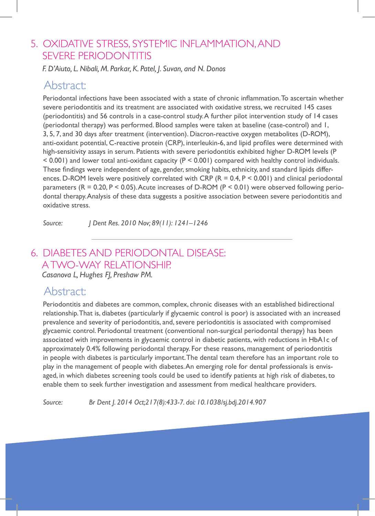#### 5. OXIDATIVE STRESS, SYSTEMIC INFLAMMATION, AND SEVERE PERIODONTITIS

*F. D'Aiuto, L. Nibali, M. Parkar, K. Patel, J. Suvan, and N. Donos*

#### Abstract:

Periodontal infections have been associated with a state of chronic inflammation. To ascertain whether severe periodontitis and its treatment are associated with oxidative stress, we recruited 145 cases (periodontitis) and 56 controls in a case-control study. A further pilot intervention study of 14 cases (periodontal therapy) was performed. Blood samples were taken at baseline (case-control) and 1, 3, 5, 7, and 30 days after treatment (intervention). Diacron-reactive oxygen metabolites (D-ROM), anti-oxidant potential, C-reactive protein (CRP), interleukin-6, and lipid profiles were determined with high-sensitivity assays in serum. Patients with severe periodontitis exhibited higher D-ROM levels (P < 0.001) and lower total anti-oxidant capacity (P < 0.001) compared with healthy control individuals. These findings were independent of age, gender, smoking habits, ethnicity, and standard lipids differences. D-ROM levels were positively correlated with CRP  $(R = 0.4, P \le 0.001)$  and clinical periodontal parameters  $(R = 0.20, P < 0.05)$ . Acute increases of D-ROM  $(P < 0.01)$  were observed following periodontal therapy. Analysis of these data suggests a positive association between severe periodontitis and oxidative stress.

*Source: J Dent Res. 2010 Nov; 89(11): 1241–1246*

# 6. DIABETES AND PERIODONTAL DISEASE: A TWO-WAY RELATIONSHIP.

 *Casanova L, Hughes FJ, Preshaw PM.*

### Abstract:

Periodontitis and diabetes are common, complex, chronic diseases with an established bidirectional relationship. That is, diabetes (particularly if glycaemic control is poor) is associated with an increased prevalence and severity of periodontitis, and, severe periodontitis is associated with compromised glycaemic control. Periodontal treatment (conventional non-surgical periodontal therapy) has been associated with improvements in glycaemic control in diabetic patients, with reductions in HbA1c of approximately 0.4% following periodontal therapy. For these reasons, management of periodontitis in people with diabetes is particularly important. The dental team therefore has an important role to play in the management of people with diabetes. An emerging role for dental professionals is envisaged, in which diabetes screening tools could be used to identify patients at high risk of diabetes, to enable them to seek further investigation and assessment from medical healthcare providers.

*Source: Br Dent J. 2014 Oct;217(8):433-7. doi: 10.1038/sj.bdj.2014.907*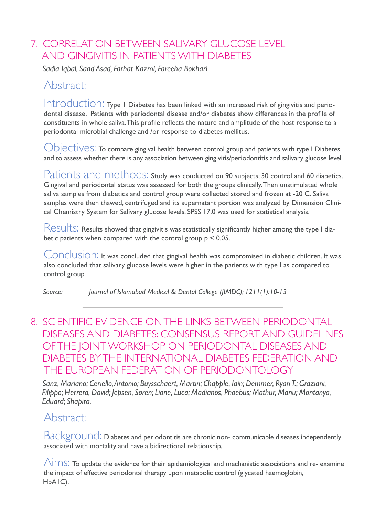# 7. CORRELATION BETWEEN SALIVARY GLUCOSE LEVEL AND GINGIVITIS IN PATIENTS WITH DIABETES

*Sadia Iqbal, Saad Asad, Farhat Kazmi, Fareeha Bokhari* 

### Abstract:

Introduction: Type I Diabetes has been linked with an increased risk of gingivitis and periodontal disease. Patients with periodontal disease and/or diabetes show differences in the profile of constituents in whole saliva. This profile reflects the nature and amplitude of the host response to a periodontal microbial challenge and /or response to diabetes mellitus.

Objectives: To compare gingival health between control group and patients with type I Diabetes and to assess whether there is any association between gingivitis/periodontitis and salivary glucose level.

Patients and methods: Study was conducted on 90 subjects; 30 control and 60 diabetics. Gingival and periodontal status was assessed for both the groups clinically. Then unstimulated whole saliva samples from diabetics and control group were collected stored and frozen at -20 C. Saliva samples were then thawed, centrifuged and its supernatant portion was analyzed by Dimension Clinical Chemistry System for Salivary glucose levels. SPSS 17.0 was used for statistical analysis.

Results: Results showed that gingivitis was statistically significantly higher among the type I diabetic patients when compared with the control group p < 0.05.

Conclusion: It was concluded that gingival health was compromised in diabetic children. It was also concluded that salivary glucose levels were higher in the patients with type I as compared to control group.

*Source: Journal of Islamabad Medical & Dental College (JIMDC); 1211(1):10-13*

#### 8. SCIENTIFIC EVIDENCE ON THE LINKS BETWEEN PERIODONTAL DISEASES AND DIABETES: CONSENSUS REPORT AND GUIDELINES OF THE JOINT WORKSHOP ON PERIODONTAL DISEASES AND DIABETES BY THE INTERNATIONAL DIABETES FEDERATION AND THE EUROPEAN FEDERATION OF PERIODONTOLOGY

 *Sanz, Mariano; Ceriello, Antonio; Buysschaert, Martin; Chapple, Iain; Demmer, Ryan T.; Graziani, Filippo; Herrera, David; Jepsen, Søren; Lione, Luca; Madianos, Phoebus; Mathur, Manu; Montanya, Eduard; Shapira.*

# Abstract:

Background: Diabetes and periodontitis are chronic non- communicable diseases independently associated with mortality and have a bidirectional relationship.

Aims: To update the evidence for their epidemiological and mechanistic associations and re- examine the impact of effective periodontal therapy upon metabolic control (glycated haemoglobin, HbA1C).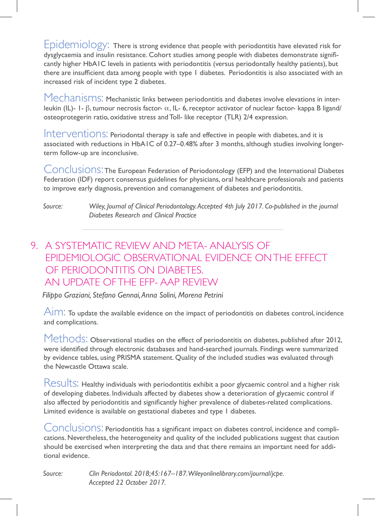Epidemiology: There is strong evidence that people with periodontitis have elevated risk for dysglycaemia and insulin resistance. Cohort studies among people with diabetes demonstrate significantly higher HbA1C levels in patients with periodontitis (versus periodontally healthy patients), but there are insufficient data among people with type 1 diabetes. Periodontitis is also associated with an increased risk of incident type 2 diabetes.

Mechanisms: Mechanistic links between periodontitis and diabetes involve elevations in interleukin (IL)- 1- β, tumour necrosis factor- α, IL- 6, receptor activator of nuclear factor- kappa B ligand/ osteoprotegerin ratio, oxidative stress and Toll- like receptor (TLR) 2/4 expression.

Interventions: Periodontal therapy is safe and effective in people with diabetes, and it is associated with reductions in HbA1C of 0.27–0.48% after 3 months, although studies involving longerterm follow-up are inconclusive.

Conclusions: The European Federation of Periodontology (EFP) and the International Diabetes Federation (IDF) report consensus guidelines for physicians, oral healthcare professionals and patients to improve early diagnosis, prevention and comanagement of diabetes and periodontitis.

*Source: Wiley, Journal of Clinical Periodontology. Accepted 4th July 2017. Co-published in the journal Diabetes Research and Clinical Practice*

#### 9. A SYSTEMATIC REVIEW AND META- ANALYSIS OF EPIDEMIOLOGIC OBSERVATIONAL EVIDENCE ON THE EFFECT OF PERIODONTITIS ON DIABETES. AN UPDATE OF THE EFP- AAP REVIEW

*Filippo Graziani, Stefano Gennai, Anna Solini, Morena Petrini*

 $\overline{A}$ IM: To update the available evidence on the impact of periodontitis on diabetes control, incidence and complications.

Methods: Observational studies on the effect of periodontitis on diabetes, published after 2012, were identified through electronic databases and hand-searched journals. Findings were summarized by evidence tables, using PRISMA statement. Quality of the included studies was evaluated through the Newcastle Ottawa scale.

Results: Healthy individuals with periodontitis exhibit a poor glycaemic control and a higher risk of developing diabetes. Individuals affected by diabetes show a deterioration of glycaemic control if also affected by periodontitis and significantly higher prevalence of diabetes-related complications. Limited evidence is available on gestational diabetes and type 1 diabetes.

Conclusions: Periodontitis has a significant impact on diabetes control, incidence and complications. Nevertheless, the heterogeneity and quality of the included publications suggest that caution should be exercised when interpreting the data and that there remains an important need for additional evidence.

*Source: Clin Periodontol. 2018;45:167–187. Wileyonlinelibrary.com/journal/jcpe. Accepted 22 October 2017.*